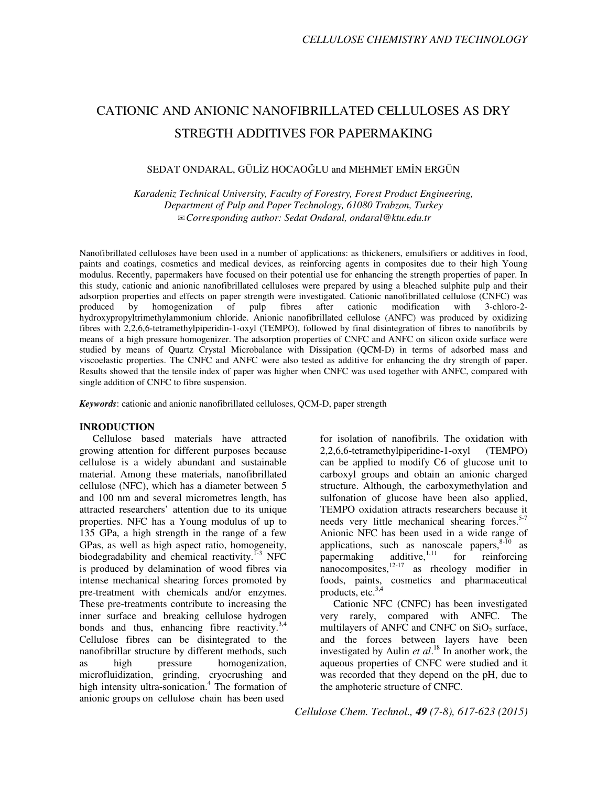# CATIONIC AND ANIONIC NANOFIBRILLATED CELLULOSES AS DRY STREGTH ADDITIVES FOR PAPERMAKING

# SEDAT ONDARAL, GÜLİZ HOCAOĞLU and MEHMET EMİN ERGÜN

*Karadeniz Technical University, Faculty of Forestry, Forest Product Engineering, Department of Pulp and Paper Technology, 61080 Trabzon, Turkey*  ✉*Corresponding author: Sedat Ondaral, ondaral@ktu.edu.tr* 

Nanofibrillated celluloses have been used in a number of applications: as thickeners, emulsifiers or additives in food, paints and coatings, cosmetics and medical devices, as reinforcing agents in composites due to their high Young modulus. Recently, papermakers have focused on their potential use for enhancing the strength properties of paper. In this study, cationic and anionic nanofibrillated celluloses were prepared by using a bleached sulphite pulp and their adsorption properties and effects on paper strength were investigated. Cationic nanofibrillated cellulose (CNFC) was produced by homogenization of pulp fibres after cationic modification with 3-chloro-2produced by homogenization of pulp fibres after cationic modification with 3-chloro-2 hydroxypropyltrimethylammonium chloride. Anionic nanofibrillated cellulose (ANFC) was produced by oxidizing fibres with 2,2,6,6-tetramethylpiperidin-1-oxyl (TEMPO), followed by final disintegration of fibres to nanofibrils by means of a high pressure homogenizer. The adsorption properties of CNFC and ANFC on silicon oxide surface were studied by means of Quartz Crystal Microbalance with Dissipation (QCM-D) in terms of adsorbed mass and viscoelastic properties. The CNFC and ANFC were also tested as additive for enhancing the dry strength of paper. Results showed that the tensile index of paper was higher when CNFC was used together with ANFC, compared with single addition of CNFC to fibre suspension.

*Keywords*: cationic and anionic nanofibrillated celluloses, QCM-D, paper strength

#### **INRODUCTION**

Cellulose based materials have attracted growing attention for different purposes because cellulose is a widely abundant and sustainable material. Among these materials, nanofibrillated cellulose (NFC), which has a diameter between 5 and 100 nm and several micrometres length, has attracted researchers' attention due to its unique properties. NFC has a Young modulus of up to 135 GPa, a high strength in the range of a few GPas, as well as high aspect ratio, homogeneity, biodegradability and chemical reactivity. $1-3$  NFC is produced by delamination of wood fibres via intense mechanical shearing forces promoted by pre-treatment with chemicals and/or enzymes. These pre-treatments contribute to increasing the inner surface and breaking cellulose hydrogen bonds and thus, enhancing fibre reactivity.<sup>3,4</sup> Cellulose fibres can be disintegrated to the nanofibrillar structure by different methods, such as high pressure homogenization, microfluidization, grinding, cryocrushing and high intensity ultra-sonication.<sup>4</sup> The formation of anionic groups on cellulose chain has been used

for isolation of nanofibrils. The oxidation with 2,2,6,6-tetramethylpiperidine-1-oxyl (TEMPO) can be applied to modify C6 of glucose unit to carboxyl groups and obtain an anionic charged structure. Although, the carboxymethylation and sulfonation of glucose have been also applied, TEMPO oxidation attracts researchers because it needs very little mechanical shearing forces.<sup>5-7</sup> Anionic NFC has been used in a wide range of applications, such as nanoscale papers,  $8-10$  as papermaking additive,  $\frac{1}{1}$  for reinforcing nanocomposites, $^{12-17}$  as rheology modifier in foods, paints, cosmetics and pharmaceutical products, etc.<sup>3,4</sup>

Cationic NFC (CNFC) has been investigated very rarely, compared with ANFC. The multilayers of ANFC and CNFC on  $SiO<sub>2</sub>$  surface, and the forces between layers have been investigated by Aulin *et al*. <sup>18</sup> In another work, the aqueous properties of CNFC were studied and it was recorded that they depend on the pH, due to the amphoteric structure of CNFC.

*Cellulose Chem. Technol., 49 (7-8), 617-623 (2015)*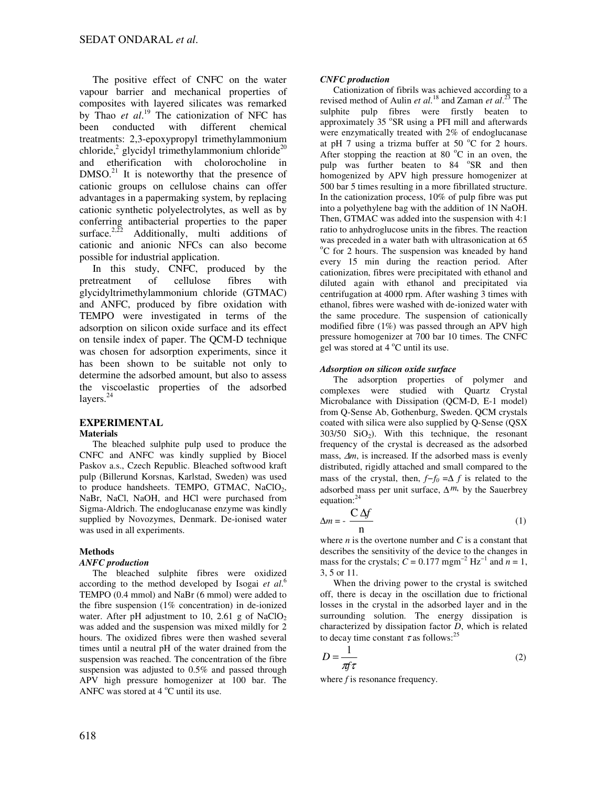The positive effect of CNFC on the water vapour barrier and mechanical properties of composites with layered silicates was remarked by Thao *et al*. <sup>19</sup> The cationization of NFC has been conducted with different chemical treatments: 2,3-epoxypropyl trimethylammonium chloride,<sup>2</sup> glycidyl trimethylammonium chloride<sup>20</sup> and etherification with cholorocholine in  $DMSO<sub>1</sub><sup>21</sup>$  It is noteworthy that the presence of cationic groups on cellulose chains can offer advantages in a papermaking system, by replacing cationic synthetic polyelectrolytes, as well as by conferring antibacterial properties to the paper surface.<sup>2,22</sup> Additionally, multi additions of cationic and anionic NFCs can also become possible for industrial application.

In this study, CNFC, produced by the pretreatment of cellulose fibres with glycidyltrimethylammonium chloride (GTMAC) and ANFC, produced by fibre oxidation with TEMPO were investigated in terms of the adsorption on silicon oxide surface and its effect on tensile index of paper. The QCM-D technique was chosen for adsorption experiments, since it has been shown to be suitable not only to determine the adsorbed amount, but also to assess the viscoelastic properties of the adsorbed layers.<sup>24</sup>

#### **EXPERIMENTAL Materials**

The bleached sulphite pulp used to produce the CNFC and ANFC was kindly supplied by Biocel Paskov a.s., Czech Republic. Bleached softwood kraft pulp (Billerund Korsnas, Karlstad, Sweden) was used to produce handsheets. TEMPO, GTMAC, NaClO<sub>2</sub>, NaBr, NaCl, NaOH, and HCl were purchased from Sigma-Aldrich. The endoglucanase enzyme was kindly supplied by Novozymes, Denmark. De-ionised water was used in all experiments.

# **Methods**

## *ANFC production*

The bleached sulphite fibres were oxidized according to the method developed by Isogai *et al*. 6 TEMPO (0.4 mmol) and NaBr (6 mmol) were added to the fibre suspension (1% concentration) in de-ionized water. After pH adjustment to 10, 2.61 g of NaClO<sub>2</sub> was added and the suspension was mixed mildly for 2 hours. The oxidized fibres were then washed several times until a neutral pH of the water drained from the suspension was reached. The concentration of the fibre suspension was adjusted to 0.5% and passed through APV high pressure homogenizer at 100 bar. The ANFC was stored at  $4^{\circ}$ C until its use.

## *CNFC production*

Cationization of fibrils was achieved according to a revised method of Aulin *et al*. <sup>18</sup> and Zaman *et al*. <sup>23</sup> The sulphite pulp fibres were firstly beaten to approximately 35 °SR using a PFI mill and afterwards were enzymatically treated with 2% of endoglucanase at pH 7 using a trizma buffer at 50  $^{\circ}$ C for 2 hours. After stopping the reaction at 80  $^{\circ}$ C in an oven, the pulp was further beaten to 84 °SR and then homogenized by APV high pressure homogenizer at 500 bar 5 times resulting in a more fibrillated structure. In the cationization process, 10% of pulp fibre was put into a polyethylene bag with the addition of 1N NaOH. Then, GTMAC was added into the suspension with 4:1 ratio to anhydroglucose units in the fibres. The reaction was preceded in a water bath with ultrasonication at 65 <sup>o</sup>C for 2 hours. The suspension was kneaded by hand every 15 min during the reaction period. After cationization, fibres were precipitated with ethanol and diluted again with ethanol and precipitated via centrifugation at 4000 rpm. After washing 3 times with ethanol, fibres were washed with de-ionized water with the same procedure. The suspension of cationically modified fibre (1%) was passed through an APV high pressure homogenizer at 700 bar 10 times. The CNFC gel was stored at  $4^{\circ}$ C until its use.

## *Adsorption on silicon oxide surface*

The adsorption properties of polymer and complexes were studied with Quartz Crystal Microbalance with Dissipation (QCM-D, E-1 model) from Q-Sense Ab, Gothenburg, Sweden. QCM crystals coated with silica were also supplied by Q-Sense (QSX  $303/50$   $SiO<sub>2</sub>$ ). With this technique, the resonant frequency of the crystal is decreased as the adsorbed mass, ∆*m*, is increased. If the adsorbed mass is evenly distributed, rigidly attached and small compared to the mass of the crystal, then, *f−f<sup>0</sup>* =∆ *f* is related to the adsorbed mass per unit surface,  $\Delta m$ , by the Sauerbrey equation:<sup>24</sup>

$$
\Delta m = -\frac{C \Delta f}{n} \tag{1}
$$

where *n* is the overtone number and *C* is a constant that describes the sensitivity of the device to the changes in mass for the crystals;  $\hat{C} = 0.177$  mgm<sup>-2</sup> Hz<sup>-1</sup> and  $\hat{n} = 1$ , 3, 5 or 11.

When the driving power to the crystal is switched off, there is decay in the oscillation due to frictional losses in the crystal in the adsorbed layer and in the surrounding solution. The energy dissipation is characterized by dissipation factor *D*, which is related to decay time constant  $\tau$  as follows:<sup>25</sup>

$$
D = \frac{1}{\pi f \tau} \tag{2}
$$

where *f* is resonance frequency.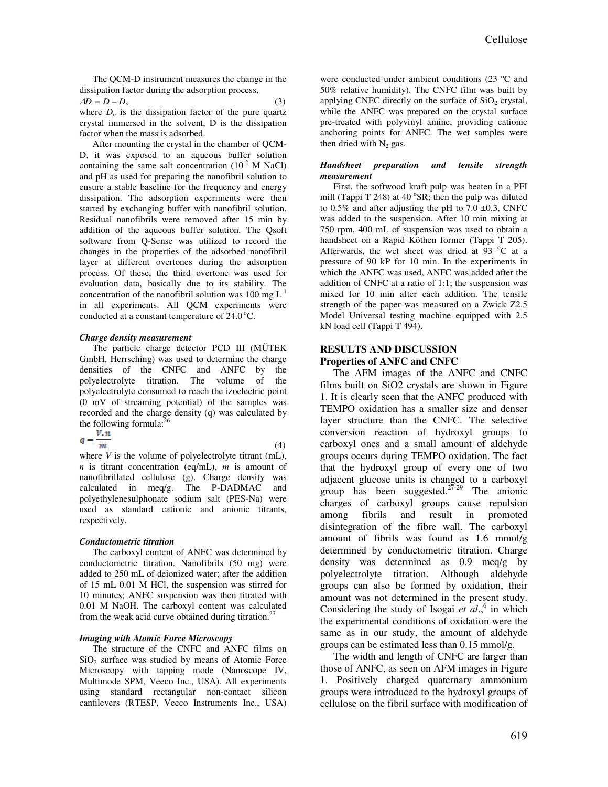The QCM-D instrument measures the change in the dissipation factor during the adsorption process,  $\Delta D = D - D_o$  (3)

where  $D<sub>o</sub>$  is the dissipation factor of the pure quartz crystal immersed in the solvent, D is the dissipation factor when the mass is adsorbed.

After mounting the crystal in the chamber of QCM-D, it was exposed to an aqueous buffer solution containing the same salt concentration  $(10^{-2} \text{ M NaCl})$ and pH as used for preparing the nanofibril solution to ensure a stable baseline for the frequency and energy dissipation. The adsorption experiments were then started by exchanging buffer with nanofibril solution. Residual nanofibrils were removed after 15 min by addition of the aqueous buffer solution. The Qsoft software from Q-Sense was utilized to record the changes in the properties of the adsorbed nanofibril layer at different overtones during the adsorption process. Of these, the third overtone was used for evaluation data, basically due to its stability. The concentration of the nanofibril solution was 100 mg  $L^{-1}$ in all experiments. All QCM experiments were conducted at a constant temperature of  $24.0^{\circ}$ C.

#### *Charge density measurement*

The particle charge detector PCD III (MÜTEK GmbH, Herrsching) was used to determine the charge densities of the CNFC and ANFC by the polyelectrolyte titration. The volume of the polyelectrolyte consumed to reach the izoelectric point (0 mV of streaming potential) of the samples was recorded and the charge density (q) was calculated by the following formula: $^{26}$ 

$$
q = \frac{V \cdot n}{m} \tag{4}
$$

where *V* is the volume of polyelectrolyte titrant (mL), *n* is titrant concentration (eq/mL), *m* is amount of nanofibrillated cellulose (g). Charge density was calculated in meq/g. The P-DADMAC and polyethylenesulphonate sodium salt (PES-Na) were used as standard cationic and anionic titrants, respectively.

## *Conductometric titration*

The carboxyl content of ANFC was determined by conductometric titration. Nanofibrils (50 mg) were added to 250 mL of deionized water; after the addition of 15 mL 0.01 M HCl, the suspension was stirred for 10 minutes; ANFC suspension was then titrated with 0.01 M NaOH. The carboxyl content was calculated from the weak acid curve obtained during titration.<sup>27</sup>

## *Imaging with Atomic Force Microscopy*

The structure of the CNFC and ANFC films on  $SiO<sub>2</sub>$  surface was studied by means of Atomic Force Microscopy with tapping mode (Nanoscope IV, Multimode SPM, Veeco Inc., USA). All experiments using standard rectangular non-contact silicon cantilevers (RTESP, Veeco Instruments Inc., USA)

were conducted under ambient conditions (23 ºC and 50% relative humidity). The CNFC film was built by applying CNFC directly on the surface of  $SiO<sub>2</sub>$  crystal, while the ANFC was prepared on the crystal surface pre-treated with polyvinyl amine, providing cationic anchoring points for ANFC. The wet samples were then dried with  $N_2$  gas.

#### *Handsheet preparation and tensile strength measurement*

First, the softwood kraft pulp was beaten in a PFI mill (Tappi T 248) at 40 $\degree$ SR; then the pulp was diluted to  $0.5\%$  and after adjusting the pH to 7.0  $\pm 0.3$ , CNFC was added to the suspension. After 10 min mixing at 750 rpm, 400 mL of suspension was used to obtain a handsheet on a Rapid Köthen former (Tappi T 205). Afterwards, the wet sheet was dried at  $93\text{ °C}$  at a pressure of 90 kP for 10 min. In the experiments in which the ANFC was used, ANFC was added after the addition of CNFC at a ratio of 1:1; the suspension was mixed for 10 min after each addition. The tensile strength of the paper was measured on a Zwick Z2.5 Model Universal testing machine equipped with 2.5 kN load cell (Tappi T 494).

## **RESULTS AND DISCUSSION Properties of ANFC and CNFC**

The AFM images of the ANFC and CNFC films built on SiO2 crystals are shown in Figure 1. It is clearly seen that the ANFC produced with TEMPO oxidation has a smaller size and denser layer structure than the CNFC. The selective conversion reaction of hydroxyl groups to carboxyl ones and a small amount of aldehyde groups occurs during TEMPO oxidation. The fact that the hydroxyl group of every one of two adjacent glucose units is changed to a carboxyl group has been suggested. $27-29$  The anionic charges of carboxyl groups cause repulsion among fibrils and result in promoted disintegration of the fibre wall. The carboxyl amount of fibrils was found as 1.6 mmol/g determined by conductometric titration. Charge density was determined as 0.9 meq/g by polyelectrolyte titration. Although aldehyde groups can also be formed by oxidation, their amount was not determined in the present study. Considering the study of Isogai et al.,<sup>6</sup> in which the experimental conditions of oxidation were the same as in our study, the amount of aldehyde groups can be estimated less than 0.15 mmol/g.

The width and length of CNFC are larger than those of ANFC, as seen on AFM images in Figure 1. Positively charged quaternary ammonium groups were introduced to the hydroxyl groups of cellulose on the fibril surface with modification of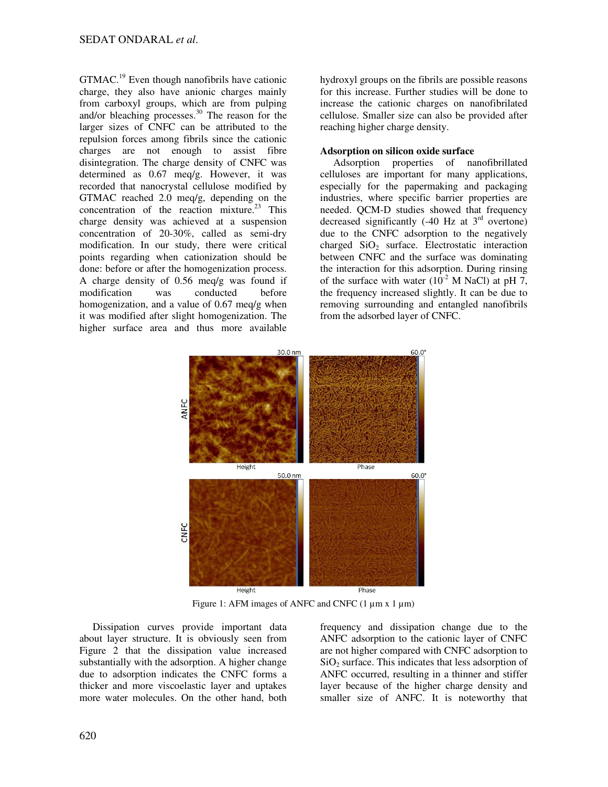GTMAC.<sup>19</sup> Even though nanofibrils have cationic charge, they also have anionic charges mainly from carboxyl groups, which are from pulping and/or bleaching processes.<sup>30</sup> The reason for the larger sizes of CNFC can be attributed to the repulsion forces among fibrils since the cationic charges are not enough to assist fibre disintegration. The charge density of CNFC was determined as 0.67 meq/g. However, it was recorded that nanocrystal cellulose modified by GTMAC reached 2.0 meq/g, depending on the concentration of the reaction mixture.<sup>23</sup> This charge density was achieved at a suspension concentration of 20-30%, called as semi-dry modification. In our study, there were critical points regarding when cationization should be done: before or after the homogenization process. A charge density of 0.56 meq/g was found if modification was conducted before homogenization, and a value of 0.67 meq/g when it was modified after slight homogenization. The higher surface area and thus more available

hydroxyl groups on the fibrils are possible reasons for this increase. Further studies will be done to increase the cationic charges on nanofibrilated cellulose. Smaller size can also be provided after reaching higher charge density.

## **Adsorption on silicon oxide surface**

Adsorption properties of nanofibrillated celluloses are important for many applications, especially for the papermaking and packaging industries, where specific barrier properties are needed. OCM-D studies showed that frequency decreased significantly  $(-40 \text{ Hz at } 3^{\text{rd}} \text{ overtone})$ due to the CNFC adsorption to the negatively charged  $SiO<sub>2</sub>$  surface. Electrostatic interaction between CNFC and the surface was dominating the interaction for this adsorption. During rinsing of the surface with water  $(10^{-2}$  M NaCl) at pH 7. the frequency increased slightly. It can be due to removing surrounding and entangled nanofibrils from the adsorbed layer of CNFC.



Figure 1: AFM images of ANFC and CNFC  $(1 \mu m x 1 \mu m)$ 

Dissipation curves provide important data about layer structure. It is obviously seen from Figure 2 that the dissipation value increased substantially with the adsorption. A higher change due to adsorption indicates the CNFC forms a thicker and more viscoelastic layer and uptakes more water molecules. On the other hand, both frequency and dissipation change due to the ANFC adsorption to the cationic layer of CNFC are not higher compared with CNFC adsorption to  $SiO<sub>2</sub>$  surface. This indicates that less adsorption of ANFC occurred, resulting in a thinner and stiffer layer because of the higher charge density and smaller size of ANFC. It is noteworthy that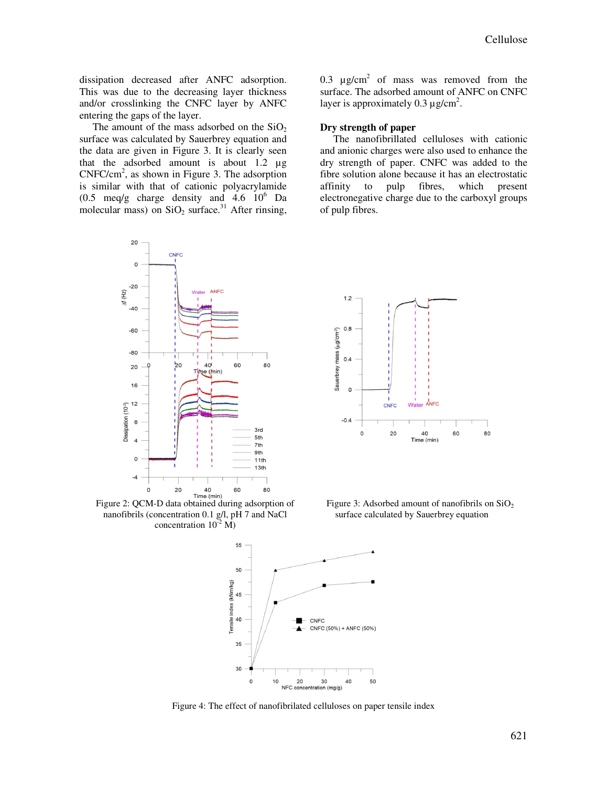dissipation decreased after ANFC adsorption. This was due to the decreasing layer thickness and/or crosslinking the CNFC layer by ANFC entering the gaps of the layer.

The amount of the mass adsorbed on the  $SiO<sub>2</sub>$ surface was calculated by Sauerbrey equation and the data are given in Figure 3. It is clearly seen that the adsorbed amount is about 1.2 µg  $CNFC/cm<sup>2</sup>$ , as shown in Figure 3. The adsorption is similar with that of cationic polyacrylamide  $(0.5 \text{ meq/g}$  charge density and  $4.6 \text{ 10}^6$  Da molecular mass) on  $SiO<sub>2</sub>$  surface.<sup>31</sup> After rinsing,



Figure 2: QCM-D data obtained during adsorption of nanofibrils (concentration 0.1 g/l, pH 7 and NaCl concentration  $10^{-2}$  M)

0.3  $\mu$ g/cm<sup>2</sup> of mass was removed from the surface. The adsorbed amount of ANFC on CNFC layer is approximately 0.3  $\mu$ g/cm<sup>2</sup>.

## **Dry strength of paper**

The nanofibrillated celluloses with cationic and anionic charges were also used to enhance the dry strength of paper. CNFC was added to the fibre solution alone because it has an electrostatic affinity to pulp fibres, which present electronegative charge due to the carboxyl groups of pulp fibres.



Figure 3: Adsorbed amount of nanofibrils on  $SiO<sub>2</sub>$ surface calculated by Sauerbrey equation



Figure 4: The effect of nanofibrilated celluloses on paper tensile index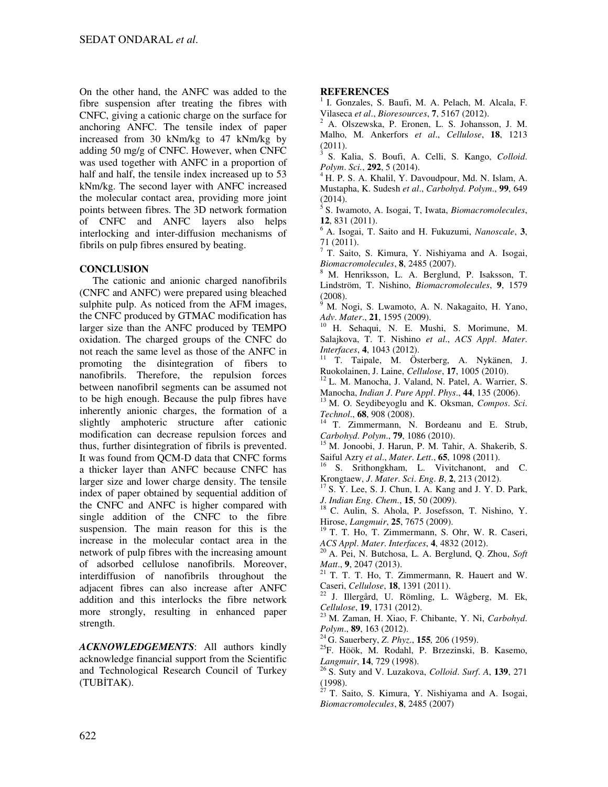On the other hand, the ANFC was added to the fibre suspension after treating the fibres with CNFC, giving a cationic charge on the surface for anchoring ANFC. The tensile index of paper increased from 30 kNm/kg to 47 kNm/kg by adding 50 mg/g of CNFC. However, when CNFC was used together with ANFC in a proportion of half and half, the tensile index increased up to 53 kNm/kg. The second layer with ANFC increased the molecular contact area, providing more joint points between fibres. The 3D network formation of CNFC and ANFC layers also helps interlocking and inter-diffusion mechanisms of fibrils on pulp fibres ensured by beating.

# **CONCLUSION**

The cationic and anionic charged nanofibrils (CNFC and ANFC) were prepared using bleached sulphite pulp. As noticed from the AFM images, the CNFC produced by GTMAC modification has larger size than the ANFC produced by TEMPO oxidation. The charged groups of the CNFC do not reach the same level as those of the ANFC in promoting the disintegration of fibers to nanofibrils. Therefore, the repulsion forces between nanofibril segments can be assumed not to be high enough. Because the pulp fibres have inherently anionic charges, the formation of a slightly amphoteric structure after cationic modification can decrease repulsion forces and thus, further disintegration of fibrils is prevented. It was found from QCM-D data that CNFC forms a thicker layer than ANFC because CNFC has larger size and lower charge density. The tensile index of paper obtained by sequential addition of the CNFC and ANFC is higher compared with single addition of the CNFC to the fibre suspension. The main reason for this is the increase in the molecular contact area in the network of pulp fibres with the increasing amount of adsorbed cellulose nanofibrils. Moreover, interdiffusion of nanofibrils throughout the adjacent fibres can also increase after ANFC addition and this interlocks the fibre network more strongly, resulting in enhanced paper strength.

*ACKNOWLEDGEMENTS*: All authors kindly acknowledge financial support from the Scientific and Technological Research Council of Turkey (TUBİTAK).

# **REFERENCES**

<sup>1</sup>I. Gonzales, S. Baufi, M. A. Pelach, M. Alcala, F. Vilaseca *et al*., *Bioresources*, **7**, 5167 (2012).

2 A. Olszewska, P. Eronen, L. S. Johansson, J. M. Malho, M. Ankerfors *et al*., *Cellulose*, **18**, 1213 (2011).

<sup>3</sup>S. Kalia, S. Boufi, A. Celli, S. Kango, *Colloid*. *Polym*. *Sci.*, **292**, 5 (2014).

<sup>4</sup> H. P. S. A. Khalil, Y. Davoudpour, Md. N. Islam, A. Mustapha, K. Sudesh *et al*., *Carbohyd*. *Polym*., **99**, 649 (2014).

<sup>5</sup>S. Iwamoto, A. Isogai, T, Iwata, *Biomacromolecules*, **12**, 831 (2011).

<sup>6</sup> A. Isogai, T. Saito and H. Fukuzumi, *Nanoscale*, **3**, 71 (2011).

<sup>7</sup>T. Saito, S. Kimura, Y. Nishiyama and A. Isogai, *Biomacromolecules*, **8**, 2485 (2007).

<sup>8</sup>M. Henriksson, L. A. Berglund, P. Isaksson, T. Lindström, T. Nishino, *Biomacromolecules*, **9**, 1579 (2008).

<sup>9</sup>M. Nogi, S. Lwamoto, A. N. Nakagaito, H. Yano, *Adv*. *Mater*., **21**, 1595 (2009).

H. Sehaqui, N. E. Mushi, S. Morimune, M. Salajkova, T. T. Nishino *et al*., *ACS Appl*. *Mater*. *Interfaces*, **4**, 1043 (2012).

<sup>11</sup> T. Taipale, M. Österberg, A. Nykänen, J. Ruokolainen, J. Laine, *Cellulose*, **17**, 1005 (2010).

<sup>12</sup> L. M. Manocha, J. Valand, N. Patel, A. Warrier, S. Manocha, *Indian J*. *Pure Appl*. *Phys*., **44**, 135 (2006).

<sup>13</sup>M. O. Seydibeyoglu and K. Oksman, *Compos*. *Sci*. *Technol*., **68**, 908 (2008).

<sup>14</sup> T. Zimmermann, N. Bordeanu and E. Strub, *Carbohyd*. *Polym*., **79**, 1086 (2010).

<sup>15</sup>M. Jonoobi, J. Harun, P. M. Tahir, A. Shakerib, S. Saiful Azry *et al.*, *Mater. Lett.*, **65**, 1098 (2011).

S. Srithongkham, L. Vivitchanont, and C. Krongtaew, *J*. *Mater*. *Sci*. *Eng*. *B*, **2**, 213 (2012).

 $17$  S. Y. Lee, S. J. Chun, I. A. Kang and J. Y. D. Park, *J*. *Indian Eng*. *Chem*., **15**, 50 (2009).

<sup>18</sup> C. Aulin, S. Ahola, P. Josefsson, T. Nishino, Y. Hirose, *Langmuir*, **25**, 7675 (2009).

<sup>19</sup> T. T. Ho, T. Zimmermann, S. Ohr, W. R. Caseri, *ACS Appl*. *Mater*. *Interfaces*, **4**, 4832 (2012).

<sup>20</sup>A. Pei, N. Butchosa, L. A. Berglund, Q. Zhou, *Soft Matt.*, **9**, 2047 (2013).<br><sup>21</sup> T<sub>1</sub> T<sub>1</sub> T<sub>1</sub>

<sup>21</sup>T. T. T. Ho, T. Zimmermann, R. Hauert and W. Caseri, *Cellulose*, **18**, 1391 (2011).

<sup>22</sup>J. Illergård, U. Römling, L. Wågberg, M. Ek, *Cellulose*, **19**, 1731 (2012).

<sup>23</sup>M. Zaman, H. Xiao, F. Chibante, Y. Ni, *Carbohyd*. *Polym*., **89**, 163 (2012).

<sup>24</sup>G. Sauerbery, *Z*. *Phyz*., **155***,* 206 (1959).

<sup>25</sup>F. Höök, M. Rodahl, P. Brzezinski, B. Kasemo, *Langmuir*, **14**, 729 (1998).

<sup>26</sup>S. Suty and V. Luzakova, *Colloid*. *Surf*. *A*, **139**, 271 (1998).

<sup>27</sup> T. Saito, S. Kimura, Y. Nishiyama and A. Isogai, *Biomacromolecules*, **8**, 2485 (2007)